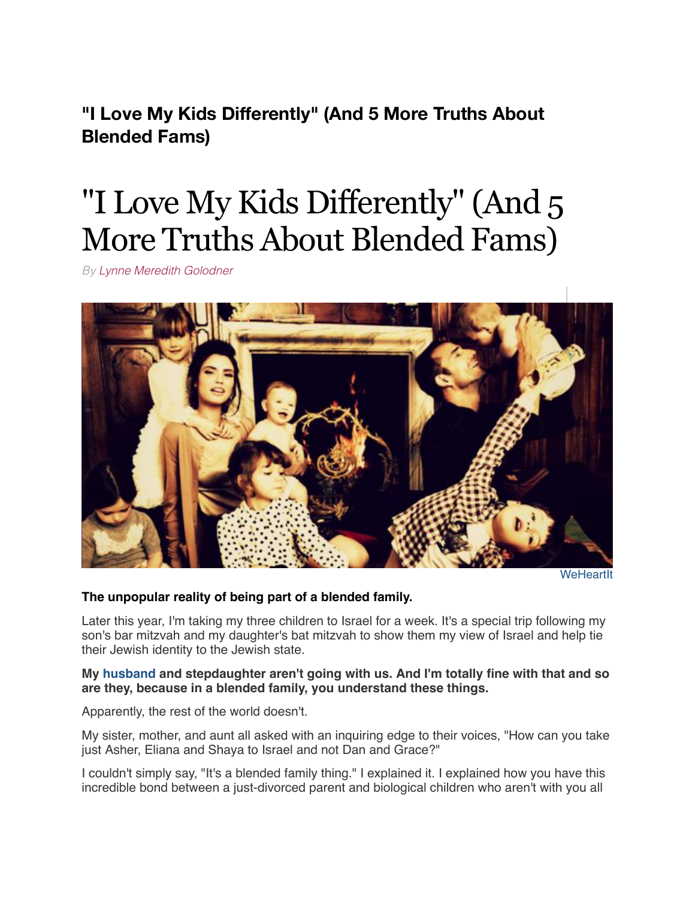**"I Love My Kids Differently" (And 5 More Truths About Blended Fams)**

# "I Love My Kids Differently" (And 5 More Truths About Blended Fams)

*By [Lynne Meredith Golodner](http://www.yourtango.com/users/lynne-meredith-golodner)*



**[WeHeartIt](http://weheartit.com/entry/183058502/)** 

# **The unpopular reality of being part of a blended family.**

Later this year, I'm taking my three children to Israel for a week. It's a special trip following my son's bar mitzvah and my daughter's bat mitzvah to show them my view of Israel and help tie their Jewish identity to the Jewish state.

## **My [husband](http://www.yourtango.com/2013197121/marriage-i-put-my-husband-my-child) and stepdaughter aren't going with us. And I'm totally fine with that and so are they, because in a blended family, you understand these things.**

Apparently, the rest of the world doesn't.

My sister, mother, and aunt all asked with an inquiring edge to their voices, "How can you take just Asher, Eliana and Shaya to Israel and not Dan and Grace?"

I couldn't simply say, "It's a blended family thing." I explained it. I explained how you have this incredible bond between a just-divorced parent and biological children who aren't with you all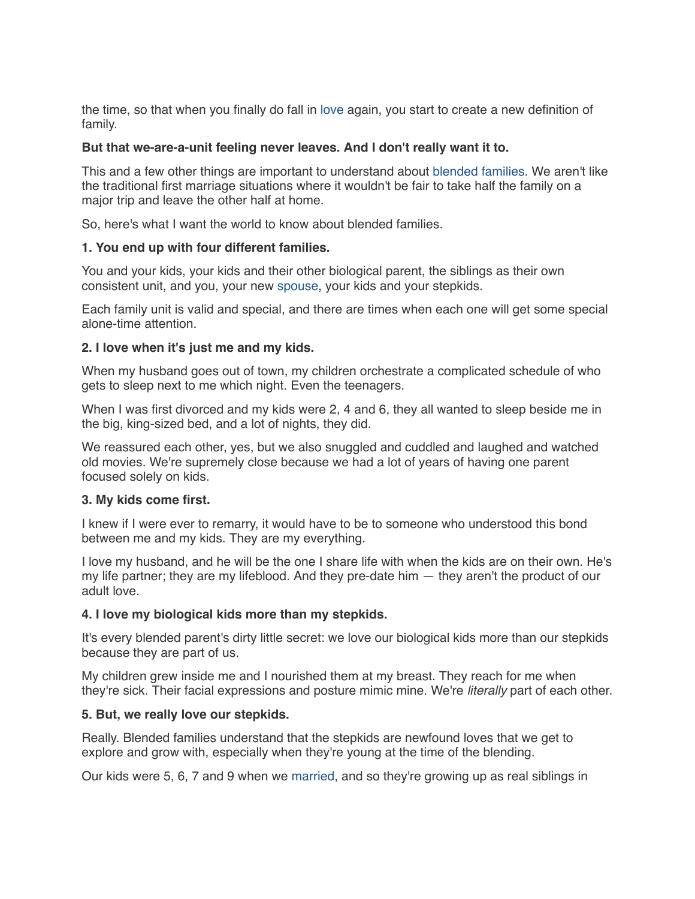the time, so that when you finally do fall in [love](http://www.yourtango.com/love) again, you start to create a new definition of family.

## **But that we-are-a-unit feeling never leaves. And I don't really want it to.**

This and a few other things are important to understand about [blended families](http://www.yourtango.com/experts/micki-mcwade/creating-successfully-blended-families). We aren't like the traditional first marriage situations where it wouldn't be fair to take half the family on a major trip and leave the other half at home.

So, here's what I want the world to know about blended families.

# **1. You end up with four different families.**

You and your kids, your kids and their other biological parent, the siblings as their own consistent unit, and you, your new [spouse,](http://www.yourtango.com/2013191628/ways-support-your-spouse-through-mental-illness) your kids and your stepkids.

Each family unit is valid and special, and there are times when each one will get some special alone-time attention.

## **2. I love when it's just me and my kids.**

When my husband goes out of town, my children orchestrate a complicated schedule of who gets to sleep next to me which night. Even the teenagers.

When I was first divorced and my kids were 2, 4 and 6, they all wanted to sleep beside me in the big, king-sized bed, and a lot of nights, they did.

We reassured each other, yes, but we also snuggled and cuddled and laughed and watched old movies. We're supremely close because we had a lot of years of having one parent focused solely on kids.

#### **3. My kids come first.**

I knew if I were ever to remarry, it would have to be to someone who understood this bond between me and my kids. They are my everything.

I love my husband, and he will be the one I share life with when the kids are on their own. He's my life partner; they are my lifeblood. And they pre-date him — they aren't the product of our adult love.

#### **4. I love my biological kids more than my stepkids.**

It's every blended parent's dirty little secret: we love our biological kids more than our stepkids because they are part of us.

My children grew inside me and I nourished them at my breast. They reach for me when they're sick. Their facial expressions and posture mimic mine. We're *literally* part of each other.

# **5. But, we really love our stepkids.**

Really. Blended families understand that the stepkids are newfound loves that we get to explore and grow with, especially when they're young at the time of the blending.

Our kids were 5, 6, 7 and 9 when we [married,](http://www.yourtango.com/married-lovestage) and so they're growing up as real siblings in